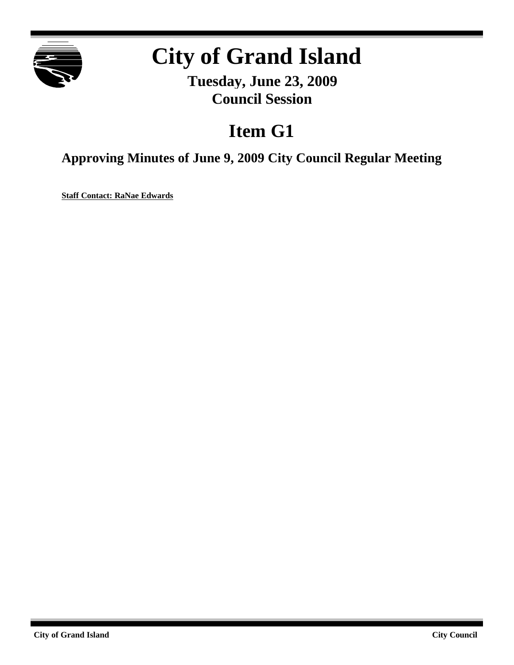

# **City of Grand Island**

**Tuesday, June 23, 2009 Council Session**

# **Item G1**

**Approving Minutes of June 9, 2009 City Council Regular Meeting**

**Staff Contact: RaNae Edwards**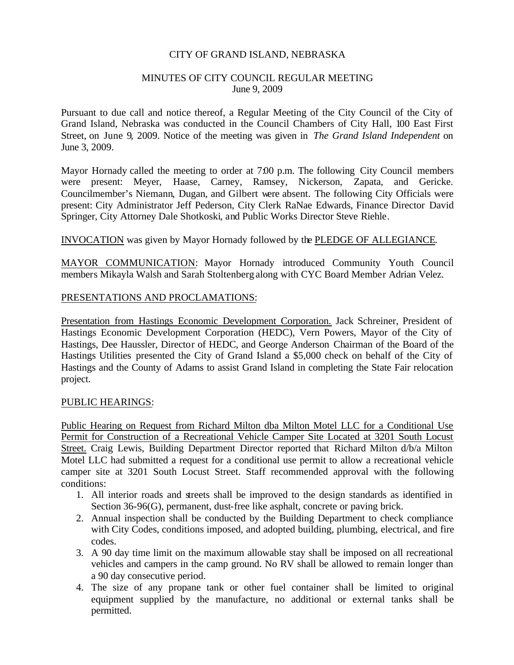#### CITY OF GRAND ISLAND, NEBRASKA

#### MINUTES OF CITY COUNCIL REGULAR MEETING June 9, 2009

Pursuant to due call and notice thereof, a Regular Meeting of the City Council of the City of Grand Island, Nebraska was conducted in the Council Chambers of City Hall, 100 East First Street, on June 9, 2009. Notice of the meeting was given in *The Grand Island Independent* on June 3, 2009.

Mayor Hornady called the meeting to order at 7:00 p.m. The following City Council members were present: Meyer, Haase, Carney, Ramsey, Nickerson, Zapata, and Gericke. Councilmember's Niemann, Dugan, and Gilbert were absent. The following City Officials were present: City Administrator Jeff Pederson, City Clerk RaNae Edwards, Finance Director David Springer, City Attorney Dale Shotkoski, and Public Works Director Steve Riehle.

## INVOCATION was given by Mayor Hornady followed by the PLEDGE OF ALLEGIANCE.

MAYOR COMMUNICATION: Mayor Hornady introduced Community Youth Council members Mikayla Walsh and Sarah Stoltenberg along with CYC Board Member Adrian Velez.

#### PRESENTATIONS AND PROCLAMATIONS:

Presentation from Hastings Economic Development Corporation. Jack Schreiner, President of Hastings Economic Development Corporation (HEDC), Vern Powers, Mayor of the City of Hastings, Dee Haussler, Director of HEDC, and George Anderson Chairman of the Board of the Hastings Utilities presented the City of Grand Island a \$5,000 check on behalf of the City of Hastings and the County of Adams to assist Grand Island in completing the State Fair relocation project.

#### PUBLIC HEARINGS:

Public Hearing on Request from Richard Milton dba Milton Motel LLC for a Conditional Use Permit for Construction of a Recreational Vehicle Camper Site Located at 3201 South Locust Street. Craig Lewis, Building Department Director reported that Richard Milton d/b/a Milton Motel LLC had submitted a request for a conditional use permit to allow a recreational vehicle camper site at 3201 South Locust Street. Staff recommended approval with the following conditions:

- 1. All interior roads and streets shall be improved to the design standards as identified in Section 36-96(G), permanent, dust-free like asphalt, concrete or paving brick.
- 2. Annual inspection shall be conducted by the Building Department to check compliance with City Codes, conditions imposed, and adopted building, plumbing, electrical, and fire codes.
- 3. A 90 day time limit on the maximum allowable stay shall be imposed on all recreational vehicles and campers in the camp ground. No RV shall be allowed to remain longer than a 90 day consecutive period.
- 4. The size of any propane tank or other fuel container shall be limited to original equipment supplied by the manufacture, no additional or external tanks shall be permitted.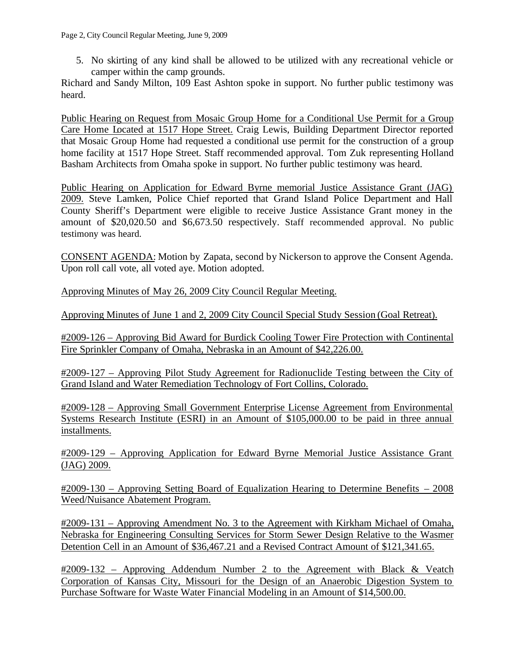5. No skirting of any kind shall be allowed to be utilized with any recreational vehicle or camper within the camp grounds.

Richard and Sandy Milton, 109 East Ashton spoke in support. No further public testimony was heard.

Public Hearing on Request from Mosaic Group Home for a Conditional Use Permit for a Group Care Home Located at 1517 Hope Street. Craig Lewis, Building Department Director reported that Mosaic Group Home had requested a conditional use permit for the construction of a group home facility at 1517 Hope Street. Staff recommended approval. Tom Zuk representing Holland Basham Architects from Omaha spoke in support. No further public testimony was heard.

Public Hearing on Application for Edward Byrne memorial Justice Assistance Grant (JAG) 2009. Steve Lamken, Police Chief reported that Grand Island Police Department and Hall County Sheriff's Department were eligible to receive Justice Assistance Grant money in the amount of \$20,020.50 and \$6,673.50 respectively. Staff recommended approval. No public testimony was heard.

CONSENT AGENDA: Motion by Zapata, second by Nickerson to approve the Consent Agenda. Upon roll call vote, all voted aye. Motion adopted.

Approving Minutes of May 26, 2009 City Council Regular Meeting.

Approving Minutes of June 1 and 2, 2009 City Council Special Study Session (Goal Retreat).

#2009-126 – Approving Bid Award for Burdick Cooling Tower Fire Protection with Continental Fire Sprinkler Company of Omaha, Nebraska in an Amount of \$42,226.00.

#2009-127 – Approving Pilot Study Agreement for Radionuclide Testing between the City of Grand Island and Water Remediation Technology of Fort Collins, Colorado.

#2009-128 – Approving Small Government Enterprise License Agreement from Environmental Systems Research Institute (ESRI) in an Amount of \$105,000.00 to be paid in three annual installments.

#2009-129 – Approving Application for Edward Byrne Memorial Justice Assistance Grant (JAG) 2009.

#2009-130 – Approving Setting Board of Equalization Hearing to Determine Benefits – 2008 Weed/Nuisance Abatement Program.

#2009-131 – Approving Amendment No. 3 to the Agreement with Kirkham Michael of Omaha, Nebraska for Engineering Consulting Services for Storm Sewer Design Relative to the Wasmer Detention Cell in an Amount of \$36,467.21 and a Revised Contract Amount of \$121,341.65.

#2009-132 – Approving Addendum Number 2 to the Agreement with Black & Veatch Corporation of Kansas City, Missouri for the Design of an Anaerobic Digestion System to Purchase Software for Waste Water Financial Modeling in an Amount of \$14,500.00.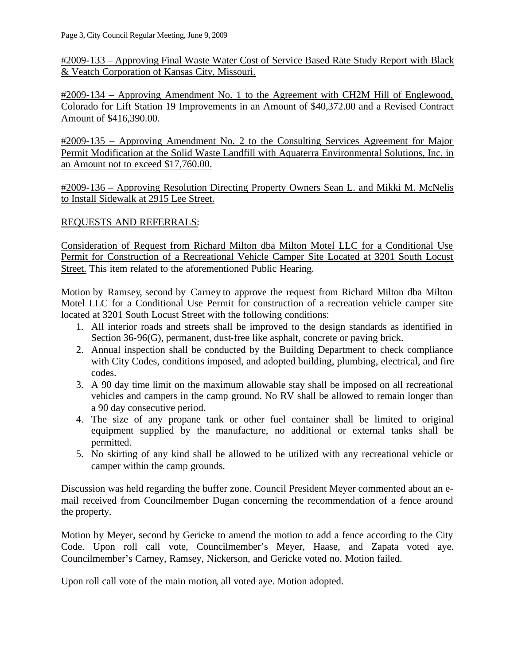#2009-133 – Approving Final Waste Water Cost of Service Based Rate Study Report with Black & Veatch Corporation of Kansas City, Missouri.

#2009-134 – Approving Amendment No. 1 to the Agreement with CH2M Hill of Englewood, Colorado for Lift Station 19 Improvements in an Amount of \$40,372.00 and a Revised Contract Amount of \$416,390.00.

#2009-135 – Approving Amendment No. 2 to the Consulting Services Agreement for Major Permit Modification at the Solid Waste Landfill with Aquaterra Environmental Solutions, Inc. in an Amount not to exceed \$17,760.00.

#2009-136 – Approving Resolution Directing Property Owners Sean L. and Mikki M. McNelis to Install Sidewalk at 2915 Lee Street.

# REQUESTS AND REFERRALS:

Consideration of Request from Richard Milton dba Milton Motel LLC for a Conditional Use Permit for Construction of a Recreational Vehicle Camper Site Located at 3201 South Locust Street. This item related to the aforementioned Public Hearing.

Motion by Ramsey, second by Carney to approve the request from Richard Milton dba Milton Motel LLC for a Conditional Use Permit for construction of a recreation vehicle camper site located at 3201 South Locust Street with the following conditions:

- 1. All interior roads and streets shall be improved to the design standards as identified in Section 36-96(G), permanent, dust-free like asphalt, concrete or paving brick.
- 2. Annual inspection shall be conducted by the Building Department to check compliance with City Codes, conditions imposed, and adopted building, plumbing, electrical, and fire codes.
- 3. A 90 day time limit on the maximum allowable stay shall be imposed on all recreational vehicles and campers in the camp ground. No RV shall be allowed to remain longer than a 90 day consecutive period.
- 4. The size of any propane tank or other fuel container shall be limited to original equipment supplied by the manufacture, no additional or external tanks shall be permitted.
- 5. No skirting of any kind shall be allowed to be utilized with any recreational vehicle or camper within the camp grounds.

Discussion was held regarding the buffer zone. Council President Meyer commented about an email received from Councilmember Dugan concerning the recommendation of a fence around the property.

Motion by Meyer, second by Gericke to amend the motion to add a fence according to the City Code. Upon roll call vote, Councilmember's Meyer, Haase, and Zapata voted aye. Councilmember's Carney, Ramsey, Nickerson, and Gericke voted no. Motion failed.

Upon roll call vote of the main motion, all voted aye. Motion adopted.